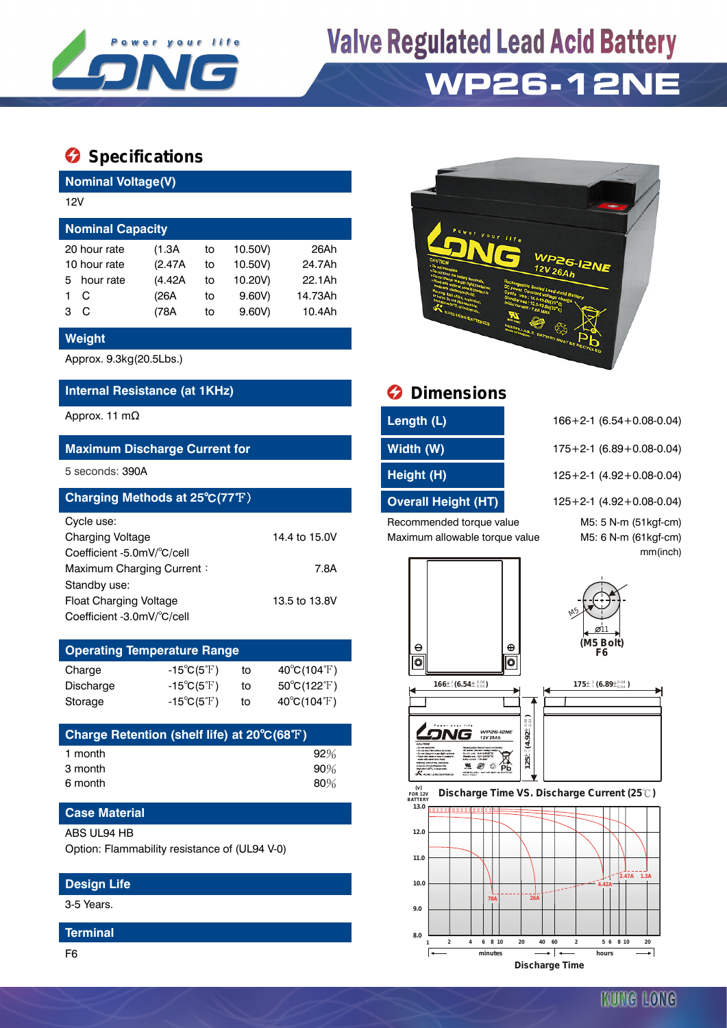

# **Valve Regulated Lead Acid Battery WP26-12NE**

### **Specifications**

**Nominal Voltage(V)**

| 12V                     |         |    |         |         |  |  |  |  |
|-------------------------|---------|----|---------|---------|--|--|--|--|
| <b>Nominal Capacity</b> |         |    |         |         |  |  |  |  |
| 20 hour rate            | (1.3A)  | to | 10.50V) | 26Ah    |  |  |  |  |
| 10 hour rate            | (2.47A) | to | 10.50V) | 24.7Ah  |  |  |  |  |
| hour rate<br>5.         | (4.42A) | to | 10.20V) | 22.1Ah  |  |  |  |  |
| C                       | (26A    | to | 9.60V   | 14.73Ah |  |  |  |  |
| C<br>з                  | (78A    | tο | 9.60V   | 10.4Ah  |  |  |  |  |

#### **Weight**

Approx. 9.3kg(20.5Lbs.)

#### **Internal Resistance (at 1KHz) Dimensions**

#### **Maximum Discharge Current for Width (W)** 175+2-1 (6.89+0.08-0.04)

| Charging Methods at 25°C(77°F) |               |
|--------------------------------|---------------|
| Cycle use:                     |               |
| <b>Charging Voltage</b>        | 14.4 to 15.0V |
| Coefficient -5.0mV/°C/cell     |               |
| Maximum Charging Current:      | 7.8A          |
| Standby use:                   |               |
| <b>Float Charging Voltage</b>  | 13.5 to 13.8V |
| Coefficient -3.0mV/°C/cell     |               |

| <b>Operating Temperature Range</b> |                            |    |                             |  |  |  |  |
|------------------------------------|----------------------------|----|-----------------------------|--|--|--|--|
| Charge                             | $-15^{\circ}C(5^{\circ}F)$ | tο | $40^{\circ}C(104^{\circ}F)$ |  |  |  |  |
| Discharge                          | $-15^{\circ}C(5^{\circ}F)$ | tο | $50^{\circ}C(122^{\circ}F)$ |  |  |  |  |
| Storage                            | $-15^{\circ}C(5^{\circ}F)$ | to | $40^{\circ}C(104^{\circ}F)$ |  |  |  |  |

| Charge Retention (shelf life) at 20°C(68°F) |        |
|---------------------------------------------|--------|
| 1 month                                     | 92%    |
| 3 month                                     | $90\%$ |
| 6 month                                     | 80%    |

### **Case Material**

#### ABS UL94 HB

Option: Flammability resistance of (UL94 V-0)

#### **Design Life**

3-5 Years.

#### **Terminal**



| Approx. 11 m $\Omega$                | Length (L) | $166 + 2 - 1$ (6.54 + 0.08 - 0.04) |
|--------------------------------------|------------|------------------------------------|
| <b>Maximum Discharge Current for</b> | Width (W)  | $175+2-1$ (6.89 + 0.08-0.04)       |
| 5 seconds: 390A                      | Height (H) | $125+2-1$ (4.92 + 0.08-0.04)       |

**8.0**

5 seconds: 390A **Height (H)** 125+2-1 (4.92+0.08-0.04) **Overall Height (HT)** 125+2-1 (4.92+0.08-0.04) Recommended torque value M5: 5 N-m (51kgf-cm)

Maximum allowable torque value M5: 6 N-m (61kgf-cm)

mm(inch)



**1 2 4 6 8 10 20 40 60 2 5 6 8 10 20**

**minutes hours Discharge Time**

 $\overline{\phantom{a}}$